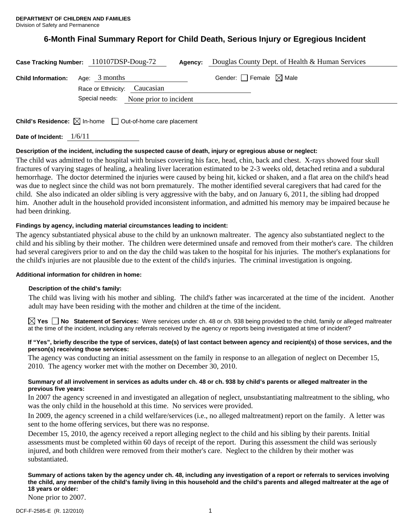# **6-Month Final Summary Report for Child Death, Serious Injury or Egregious Incident**

|                           | Case Tracking Number: 110107DSP-Doug-72<br>Agency:                              | Douglas County Dept. of Health & Human Services |
|---------------------------|---------------------------------------------------------------------------------|-------------------------------------------------|
| <b>Child Information:</b> | Age: $3$ months<br>Race or Ethnicity: Caucasian                                 | Gender: $\Box$ Female $\boxtimes$ Male          |
|                           | Special needs:<br>None prior to incident                                        |                                                 |
|                           | <b>Child's Residence:</b> $\boxtimes$ In-home $\Box$ Out-of-home care placement |                                                 |

**Date of Incident:** 1/6/11

# **Description of the incident, including the suspected cause of death, injury or egregious abuse or neglect:**

The child was admitted to the hospital with bruises covering his face, head, chin, back and chest. X-rays showed four skull fractures of varying stages of healing, a healing liver laceration estimated to be 2-3 weeks old, detached retina and a subdural hemorrhage. The doctor determined the injuries were caused by being hit, kicked or shaken, and a flat area on the child's head was due to neglect since the child was not born prematurely. The mother identified several caregivers that had cared for the child. She also indicated an older sibling is very aggressive with the baby, and on January 6, 2011, the sibling had dropped him. Another adult in the household provided inconsistent information, and admitted his memory may be impaired because he had been drinking.

# **Findings by agency, including material circumstances leading to incident:**

The agency substantiated physical abuse to the child by an unknown maltreater. The agency also substantiated neglect to the child and his sibling by their mother. The children were determined unsafe and removed from their mother's care. The children had several caregivers prior to and on the day the child was taken to the hospital for his injuries. The mother's explanations for the child's injuries are not plausible due to the extent of the child's injuries. The criminal investigation is ongoing.

## **Additional information for children in home:**

## **Description of the child's family:**

 The child was living with his mother and sibling. The child's father was incarcerated at the time of the incident. Another adult may have been residing with the mother and children at the time of the incident.

**Yes No Statement of Services:** Were services under ch. 48 or ch. 938 being provided to the child, family or alleged maltreater at the time of the incident, including any referrals received by the agency or reports being investigated at time of incident?

## **If "Yes", briefly describe the type of services, date(s) of last contact between agency and recipient(s) of those services, and the person(s) receiving those services:**

The agency was conducting an initial assessment on the family in response to an allegation of neglect on December 15, 2010. The agency worker met with the mother on December 30, 2010.

## **Summary of all involvement in services as adults under ch. 48 or ch. 938 by child's parents or alleged maltreater in the previous five years:**

In 2007 the agency screened in and investigated an allegation of neglect, unsubstantiating maltreatment to the sibling, who was the only child in the household at this time. No services were provided.

In 2009, the agency screened in a child welfare/services (i.e., no alleged maltreatment) report on the family. A letter was sent to the home offering services, but there was no response.

December 15, 2010, the agency received a report alleging neglect to the child and his sibling by their parents. Initial assessments must be completed within 60 days of receipt of the report. During this assessment the child was seriously injured, and both children were removed from their mother's care. Neglect to the children by their mother was substantiated.

# **Summary of actions taken by the agency under ch. 48, including any investigation of a report or referrals to services involving the child, any member of the child's family living in this household and the child's parents and alleged maltreater at the age of 18 years or older:**

None prior to 2007.